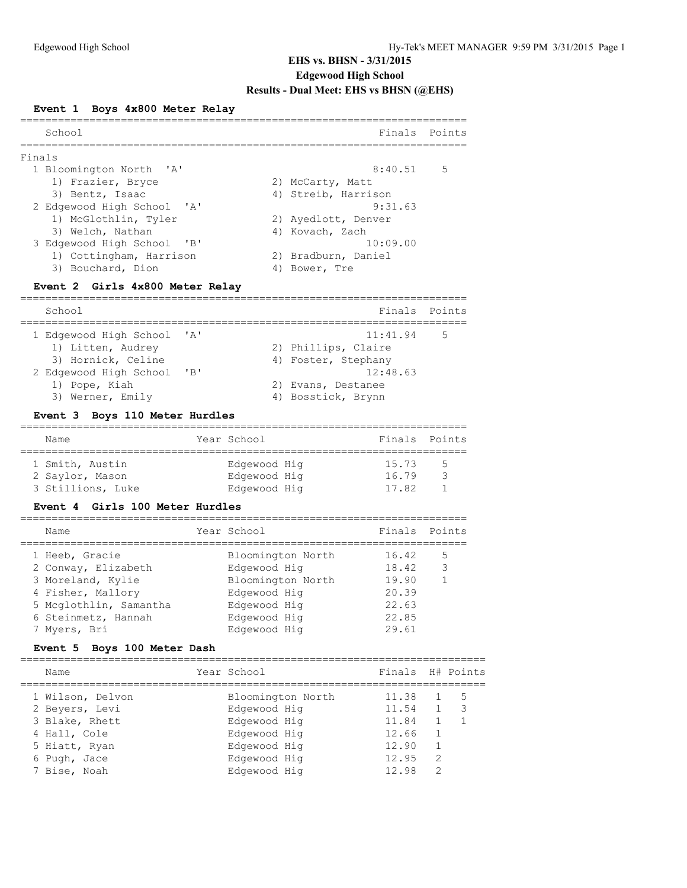### **Event 1 Boys 4x800 Meter Relay**

| School                     | Finals Points       |
|----------------------------|---------------------|
| Finals                     |                     |
| 1 Bloomington North 'A'    | $8:40.51$ 5         |
| 1) Frazier, Bryce          | 2) McCarty, Matt    |
| 3) Bentz, Isaac            | 4) Streib, Harrison |
| 2 Edgewood High School 'A' | 9:31.63             |
| 1) McGlothlin, Tyler       | 2) Ayedlott, Denver |
| 3) Welch, Nathan           | 4) Kovach, Zach     |
| 3 Edgewood High School 'B' | 10:09.00            |
| 1) Cottingham, Harrison    | 2) Bradburn, Daniel |
| 3) Bouchard, Dion          | Bower, Tre          |
|                            |                     |

# **Event 2 Girls 4x800 Meter Relay**

| School                     |                | Finals Points       |  |
|----------------------------|----------------|---------------------|--|
| 1 Edgewood High School 'A' |                | 11:41.94<br>- 5     |  |
| 1) Litten, Audrey          |                | 2) Phillips, Claire |  |
| 3) Hornick, Celine         |                | 4) Foster, Stephany |  |
| 2 Edgewood High School     | $\overline{B}$ | 12:48.63            |  |
| 1) Pope, Kiah              |                | 2) Evans, Destanee  |  |
| 3) Werner, Emily           |                | 4) Bosstick, Brynn  |  |

#### **Event 3 Boys 110 Meter Hurdles**

| Name              |  | Year School  |  | Finals Points |     |
|-------------------|--|--------------|--|---------------|-----|
|                   |  |              |  |               |     |
| 1 Smith, Austin   |  | Edgewood Hig |  | 15.73         | - 5 |
| 2 Saylor, Mason   |  | Edgewood Hig |  | 16.79         | ્ર  |
| 3 Stillions, Luke |  | Edgewood Hig |  | 17.82         |     |
|                   |  |              |  |               |     |

#### **Event 4 Girls 100 Meter Hurdles**

| Name                   | Year School       | Finals | Points |
|------------------------|-------------------|--------|--------|
| 1 Heeb, Gracie         | Bloomington North | 16.42  | 5      |
| 2 Conway, Elizabeth    | Edgewood Hig      | 18.42  | 3      |
| 3 Moreland, Kylie      | Bloomington North | 19.90  |        |
| 4 Fisher, Mallory      | Edgewood Hig      | 20.39  |        |
| 5 Mcglothlin, Samantha | Edgewood Hig      | 22.63  |        |
| 6 Steinmetz, Hannah    | Edgewood Hig      | 22.85  |        |
| 7 Myers, Bri           | Edgewood Hig      | 29.61  |        |
|                        |                   |        |        |

# **Event 5 Boys 100 Meter Dash**

| Name             | Year School       | Finals H# Points |               |     |
|------------------|-------------------|------------------|---------------|-----|
| 1 Wilson, Delvon | Bloomington North | 11.38            |               | - 5 |
| 2 Beyers, Levi   | Edgewood Hig      | 11.54            | 1             | 3   |
| 3 Blake, Rhett   | Edgewood Hig      | 11.84            |               |     |
| 4 Hall, Cole     | Edgewood Hig      | 12.66            |               |     |
| 5 Hiatt, Ryan    | Edgewood Hig      | 12.90            |               |     |
| 6 Pugh, Jace     | Edgewood Hig      | 12.95            | 2             |     |
| 7 Bise, Noah     | Edgewood Hig      | 12.98            | $\mathcal{P}$ |     |
|                  |                   |                  |               |     |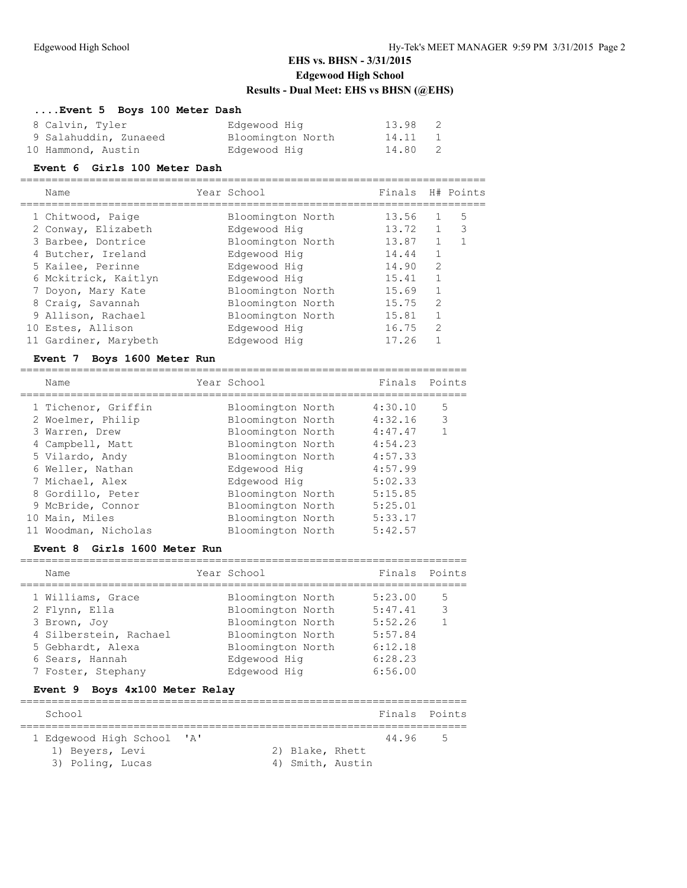# **....Event 5 Boys 100 Meter Dash**

| 8 Calvin, Tyler       | Edgewood Hig      | 13.98   |  |
|-----------------------|-------------------|---------|--|
| 9 Salahuddin, Zunaeed | Bloomington North | 14.11 1 |  |
| 10 Hammond, Austin    | Edgewood Hig      | 14.80 2 |  |

#### **Event 6 Girls 100 Meter Dash**

| Name                  | Year School       | Finals H# Points |                |   |
|-----------------------|-------------------|------------------|----------------|---|
| 1 Chitwood, Paige     | Bloomington North | 13.56            |                | 5 |
| 2 Conway, Elizabeth   | Edgewood Hig      | 13.72            | 1              | 3 |
| 3 Barbee, Dontrice    | Bloomington North | 13.87            |                |   |
| 4 Butcher, Ireland    | Edgewood Hig      | 14.44            |                |   |
| 5 Kailee, Perinne     | Edgewood Hig      | 14.90            | $\mathcal{L}$  |   |
| 6 Mckitrick, Kaitlyn  | Edgewood Hig      | 15.41            |                |   |
| 7 Doyon, Mary Kate    | Bloomington North | 15.69            |                |   |
| 8 Craig, Savannah     | Bloomington North | 15.75            | $\mathfrak{D}$ |   |
| 9 Allison, Rachael    | Bloomington North | 15.81            |                |   |
| 10 Estes, Allison     | Edgewood Hig      | 16.75            | 2              |   |
| 11 Gardiner, Marybeth | Edaewood Hia      | 17.26            |                |   |

#### **Event 7 Boys 1600 Meter Run**

| Name                 | Year School       | Finals  | Points         |
|----------------------|-------------------|---------|----------------|
| 1 Tichenor, Griffin  | Bloomington North | 4:30.10 | 5              |
| 2 Woelmer, Philip    | Bloomington North | 4:32.16 | -3             |
| 3 Warren, Drew       | Bloomington North | 4:47.47 | $\overline{1}$ |
| 4 Campbell, Matt     | Bloomington North | 4:54.23 |                |
| 5 Vilardo, Andy      | Bloomington North | 4:57.33 |                |
| 6 Weller, Nathan     | Edgewood Hig      | 4:57.99 |                |
| 7 Michael, Alex      | Edgewood Hig      | 5:02.33 |                |
| 8 Gordillo, Peter    | Bloomington North | 5:15.85 |                |
| 9 McBride, Connor    | Bloomington North | 5:25.01 |                |
| 10 Main, Miles       | Bloomington North | 5:33.17 |                |
| 11 Woodman, Nicholas | Bloomington North | 5:42.57 |                |

# **Event 8 Girls 1600 Meter Run**

| Name                                                                                                             |                                                          | Year School                                                                                                                           | Finals Points                                                             |                        |
|------------------------------------------------------------------------------------------------------------------|----------------------------------------------------------|---------------------------------------------------------------------------------------------------------------------------------------|---------------------------------------------------------------------------|------------------------|
| 1 Williams, Grace<br>2 Flynn, Ella<br>3 Brown, Joy<br>5 Gebhardt, Alexa<br>6 Sears, Hannah<br>7 Foster, Stephany | 4 Silberstein, Rachael<br>Event 9 Boys 4x100 Meter Relay | Bloomington North<br>Bloomington North<br>Bloomington North<br>Bloomington North<br>Bloomington North<br>Edgewood Hig<br>Edgewood Hig | 5:23.00<br>5:47.41<br>5:52.26<br>5:57.84<br>6:12.18<br>6:28.23<br>6:56.00 | 5<br>3<br>$\mathbf{1}$ |
| School                                                                                                           |                                                          |                                                                                                                                       | Finals Points                                                             |                        |
|                                                                                                                  | 1 Edgewood High School 'A'                               |                                                                                                                                       | 44.96                                                                     | 5                      |

| Beyers. | 1.9371 |  |
|---------|--------|--|

1) Beyers, Levi 2) Blake, Rhett 3) Poling, Lucas (4) Smith, Austin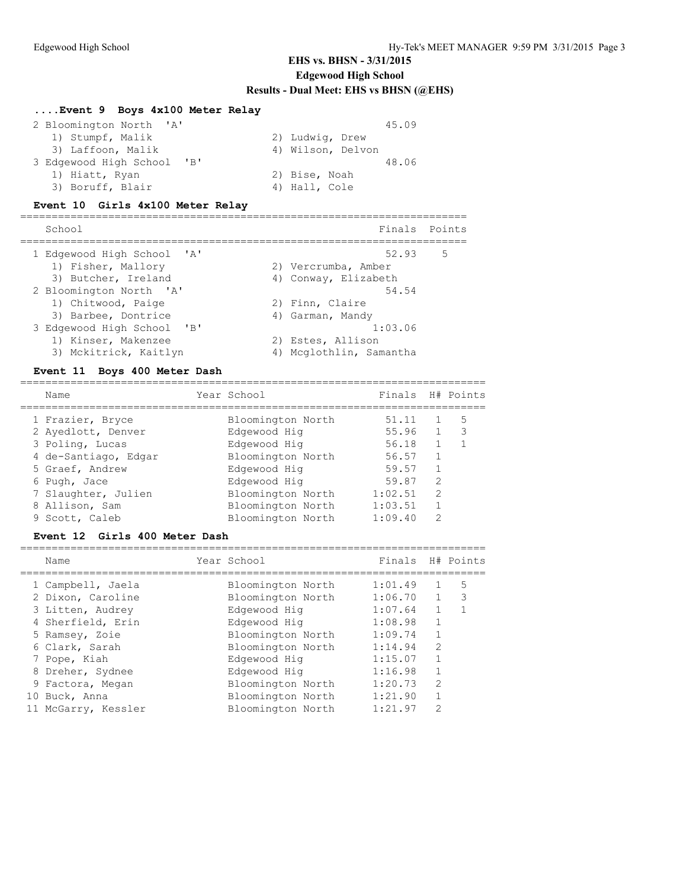# **....Event 9 Boys 4x100 Meter Relay**

| 2 Bloomington North 'A'    | 45.09             |
|----------------------------|-------------------|
| 1) Stumpf, Malik           | 2) Ludwig, Drew   |
| 3) Laffoon, Malik          | 4) Wilson, Delvon |
| 3 Edgewood High School 'B' | 48.06             |
| 1) Hiatt, Ryan             | 2) Bise, Noah     |
| 3) Boruff, Blair           | 4) Hall, Cole     |

#### **Event 10 Girls 4x100 Meter Relay**

| School                     | Finals Points           |
|----------------------------|-------------------------|
| 1 Edgewood High School 'A' | 52.93<br>- 5            |
| 1) Fisher, Mallory         | 2) Vercrumba, Amber     |
| 3) Butcher, Ireland        | 4) Conway, Elizabeth    |
| 2 Bloomington North 'A'    | 54.54                   |
| 1) Chitwood, Paige         | 2) Finn, Claire         |
| 3) Barbee, Dontrice        | 4) Garman, Mandy        |
| 3 Edgewood High School 'B' | 1:03.06                 |
| 1) Kinser, Makenzee        | 2) Estes, Allison       |
| 3) Mckitrick, Kaitlyn      | 4) Mcglothlin, Samantha |
|                            |                         |

#### **Event 11 Boys 400 Meter Dash**

|  | Name                 | Year School       | Finals  |                | H# Points                  |
|--|----------------------|-------------------|---------|----------------|----------------------------|
|  | 1 Frazier, Bryce     | Bloomington North | 51.11   |                | 5                          |
|  | 2 Ayedlott, Denver   | Edgewood Hig      | 55.96   |                | $\overline{\phantom{a}}$ 3 |
|  | 3 Poling, Lucas      | Edgewood Hig      | 56.18   |                |                            |
|  | 4 de-Santiago, Edgar | Bloomington North | 56.57   |                |                            |
|  | 5 Graef, Andrew      | Edgewood Hig      | 59.57   |                |                            |
|  | 6 Pugh, Jace         | Edgewood Hig      | 59.87   | $\mathcal{L}$  |                            |
|  | 7 Slaughter, Julien  | Bloomington North | 1:02.51 | $\mathfrak{D}$ |                            |
|  | 8 Allison, Sam       | Bloomington North | 1:03.51 |                |                            |
|  | 9 Scott, Caleb       | Bloomington North | 1:09.40 | っ              |                            |
|  |                      |                   |         |                |                            |

#### **Event 12 Girls 400 Meter Dash**

| Name                | Year School       | Finals  |               | H# Points |
|---------------------|-------------------|---------|---------------|-----------|
| 1 Campbell, Jaela   | Bloomington North | 1:01.49 |               | 5         |
| 2 Dixon, Caroline   | Bloomington North | 1:06.70 |               | 3         |
| 3 Litten, Audrey    | Edgewood Hig      | 1:07.64 |               |           |
| 4 Sherfield, Erin   | Edgewood Hig      | 1:08.98 |               |           |
| 5 Ramsey, Zoie      | Bloomington North | 1:09.74 |               |           |
| 6 Clark, Sarah      | Bloomington North | 1:14.94 | $\mathcal{D}$ |           |
| 7 Pope, Kiah        | Edgewood Hig      | 1:15.07 |               |           |
| 8 Dreher, Sydnee    | Edgewood Hig      | 1:16.98 |               |           |
| 9 Factora, Megan    | Bloomington North | 1:20.73 | $\mathcal{L}$ |           |
| 10 Buck, Anna       | Bloomington North | 1:21.90 |               |           |
| 11 McGarry, Kessler | Bloomington North | 1:21.97 | っ             |           |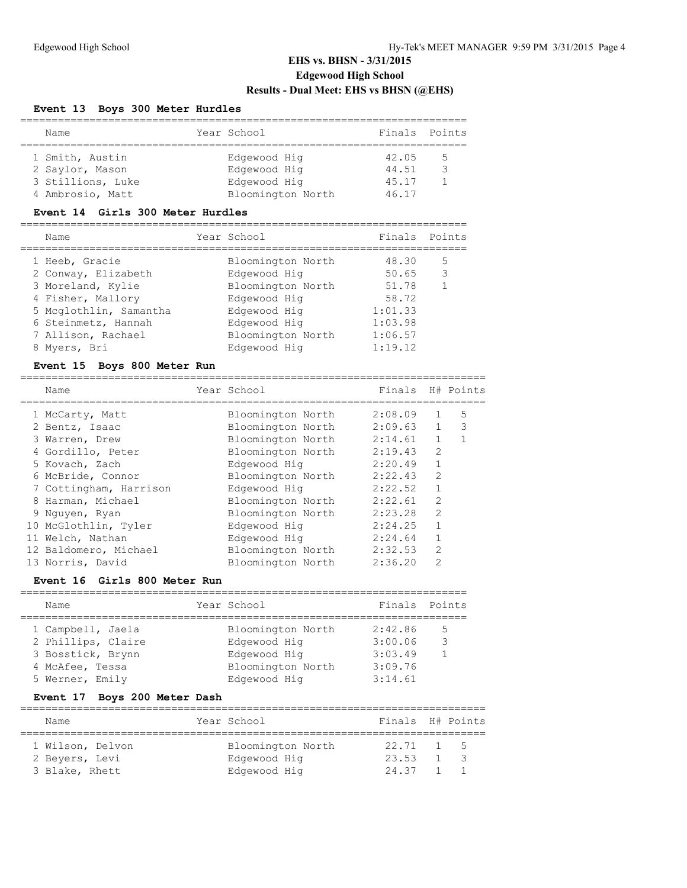#### **Event 13 Boys 300 Meter Hurdles**

| Name                                  | Year School                       | Finals Points  |     |
|---------------------------------------|-----------------------------------|----------------|-----|
| 1 Smith, Austin<br>2 Saylor, Mason    | Edgewood Hig<br>Edgewood Hig      | 42.05<br>44.51 | - 5 |
| 3 Stillions, Luke<br>4 Ambrosio, Matt | Edgewood Hig<br>Bloomington North | 45.17<br>46.17 |     |

#### **Event 14 Girls 300 Meter Hurdles**

| Name |                                                                                                                                                                        |                   |             |               |
|------|------------------------------------------------------------------------------------------------------------------------------------------------------------------------|-------------------|-------------|---------------|
|      |                                                                                                                                                                        | Bloomington North | 48.30       | 5             |
|      |                                                                                                                                                                        | Edgewood Hig      | 50.65       | 3             |
|      |                                                                                                                                                                        | Bloomington North | 51.78       | $\mathbf{1}$  |
|      |                                                                                                                                                                        | Edgewood Hig      | 58.72       |               |
|      |                                                                                                                                                                        | Edgewood Hig      | 1:01.33     |               |
|      |                                                                                                                                                                        | Edgewood Hig      | 1:03.98     |               |
|      |                                                                                                                                                                        | Bloomington North | 1:06.57     |               |
|      |                                                                                                                                                                        | Edgewood Hig      | 1:19.12     |               |
|      | 1 Heeb, Gracie<br>2 Conway, Elizabeth<br>3 Moreland, Kylie<br>4 Fisher, Mallory<br>5 Mcglothlin, Samantha<br>6 Steinmetz, Hannah<br>7 Allison, Rachael<br>8 Myers, Bri |                   | Year School | Finals Points |

# **Event 15 Boys 800 Meter Run**

| Name                   | Year School       | Finals H# Points |                |                          |
|------------------------|-------------------|------------------|----------------|--------------------------|
| 1 McCarty, Matt        | Bloomington North | 2:08.09          |                | 5                        |
| 2 Bentz, Isaac         | Bloomington North | 2:09.63          | $\mathbf{1}$   | $\overline{\phantom{a}}$ |
| 3 Warren, Drew         | Bloomington North | 2:14.61          | $\mathbf{1}$   |                          |
| 4 Gordillo, Peter      | Bloomington North | 2:19.43          | $\overline{2}$ |                          |
| 5 Kovach, Zach         | Edgewood Hig      | 2:20.49          |                |                          |
| 6 McBride, Connor      | Bloomington North | 2:22.43          | $\mathfrak{D}$ |                          |
| 7 Cottingham, Harrison | Edgewood Hig      | 2:22.52          |                |                          |
| 8 Harman, Michael      | Bloomington North | 2:22.61          | $\overline{2}$ |                          |
| 9 Nguyen, Ryan         | Bloomington North | 2:23.28          | $\overline{2}$ |                          |
| 10 McGlothlin, Tyler   | Edgewood Hig      | 2:24.25          | 1              |                          |
| 11 Welch, Nathan       | Edgewood Hig      | 2:24.64          |                |                          |
| 12 Baldomero, Michael  | Bloomington North | 2:32.53          | 2              |                          |
| 13 Norris, David       | Bloomington North | 2:36.20          | $\mathfrak{D}$ |                          |

# **Event 16 Girls 800 Meter Run**

| Name               | Year School       | Finals Points |     |
|--------------------|-------------------|---------------|-----|
|                    |                   |               |     |
| 1 Campbell, Jaela  | Bloomington North | 2:42.86       | - 5 |
| 2 Phillips, Claire | Edgewood Hig      | 3:00.06       | -3  |
| 3 Bosstick, Brynn  | Edgewood Hig      | 3:03.49       |     |
| 4 McAfee, Tessa    | Bloomington North | 3:09.76       |     |
| 5 Werner, Emily    | Edgewood Hig      | 3:14.61       |     |

# **Event 17 Boys 200 Meter Dash**

| Name                               | Year School                       | Finals H# Points                 |             |
|------------------------------------|-----------------------------------|----------------------------------|-------------|
| 1 Wilson, Delvon<br>2 Beyers, Levi | Bloomington North<br>Edgewood Hig | $22.71 \quad 1 \quad 5$<br>23.53 | $1 \quad 3$ |
| 3 Blake, Rhett                     | Edgewood Hig                      | 24.37                            | 1 1         |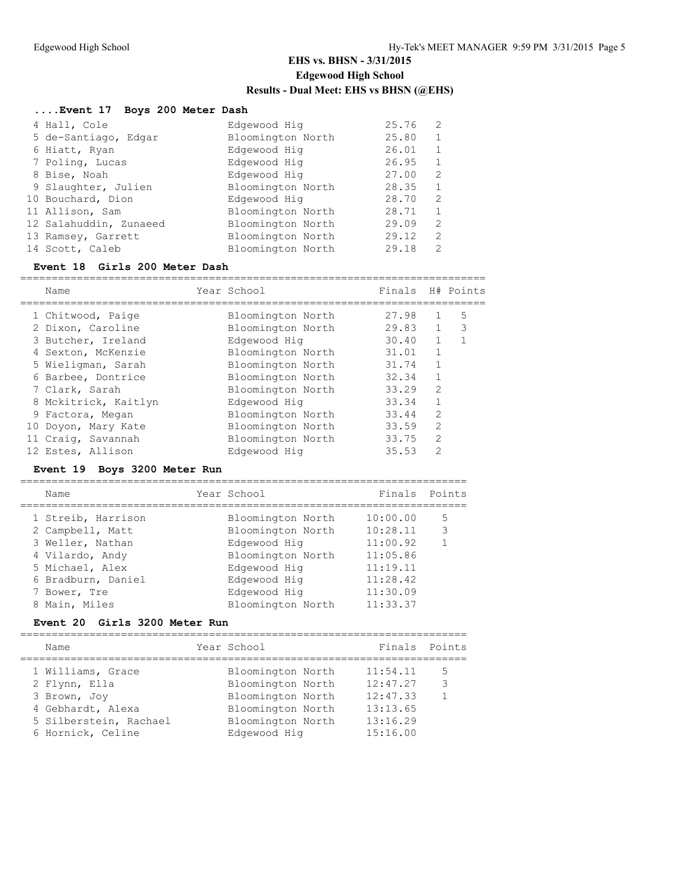### **....Event 17 Boys 200 Meter Dash** 4 Hall, Cole Edgewood Hig 25.76 2<br>5 de-Santiago, Edgar Bloomington North 25.80 1 5 de-Santiago, Edgar Bloomington North 25.80 1 6 Hiatt, Ryan and Edgewood Hig<br>26.01 26.01 26.01 26.01 26.01 26.01 26.01 26.01 26.01 26.01 26.01 26.01 26.01 26.01 26.01 26.01 26.01 26.01 26 7 Poling, Lucas Edgewood Hig 26.95 1 8 Bise, Noah Edgewood Hig 27.00 2 9 Slaughter, Julien Bloomington North 28.35 1 10 Bouchard, Dion Edgewood Hig 28.70 2 11 Allison, Sam Bloomington North 28.71 1 12 Salahuddin, Zunaeed Bloomington North 29.09 2 13 Ramsey, Garrett Bloomington North 29.12 2 14 Scott, Caleb Bloomington North 29.18 2

### **Event 18 Girls 200 Meter Dash**

| Name                 | Year School       | Finals |                | H# Points |
|----------------------|-------------------|--------|----------------|-----------|
| 1 Chitwood, Paige    | Bloomington North | 27.98  |                | 5         |
| 2 Dixon, Caroline    | Bloomington North | 29.83  |                | 3         |
|                      |                   |        |                |           |
| 3 Butcher, Ireland   | Edgewood Hig      | 30.40  |                |           |
| 4 Sexton, McKenzie   | Bloomington North | 31.01  |                |           |
| 5 Wieligman, Sarah   | Bloomington North | 31.74  |                |           |
| 6 Barbee, Dontrice   | Bloomington North | 32.34  |                |           |
| 7 Clark, Sarah       | Bloomington North | 33.29  | $\mathfrak{D}$ |           |
| 8 Mckitrick, Kaitlyn | Edgewood Hig      | 33.34  |                |           |
| 9 Factora, Megan     | Bloomington North | 33.44  | $\mathfrak{D}$ |           |
| 10 Doyon, Mary Kate  | Bloomington North | 33.59  | $\overline{2}$ |           |
| 11 Craiq, Savannah   | Bloomington North | 33.75  | $\overline{2}$ |           |
| 12 Estes, Allison    | Edgewood Hig      | 35.53  | $\mathcal{P}$  |           |
|                      |                   |        |                |           |

#### **Event 19 Boys 3200 Meter Run**

| Name               | Year School       | Finals   | Points       |
|--------------------|-------------------|----------|--------------|
| 1 Streib, Harrison | Bloomington North | 10:00.00 | 5            |
| 2 Campbell, Matt   | Bloomington North | 10:28.11 | 3            |
| 3 Weller, Nathan   | Edgewood Hig      | 11:00.92 | $\mathbf{1}$ |
| 4 Vilardo, Andy    | Bloomington North | 11:05.86 |              |
| 5 Michael, Alex    | Edgewood Hig      | 11:19.11 |              |
| 6 Bradburn, Daniel | Edgewood Hig      | 11:28.42 |              |
| 7 Bower, Tre       | Edgewood Hig      | 11:30.09 |              |
| 8 Main, Miles      | Bloomington North | 11:33.37 |              |
|                    |                   |          |              |

#### **Event 20 Girls 3200 Meter Run**

| Name                                                                                                                   | Year School                                                                                                           | Finals Points                                                        |                        |
|------------------------------------------------------------------------------------------------------------------------|-----------------------------------------------------------------------------------------------------------------------|----------------------------------------------------------------------|------------------------|
| 1 Williams, Grace<br>2 Flynn, Ella<br>3 Brown, Joy<br>4 Gebhardt, Alexa<br>5 Silberstein, Rachael<br>6 Hornick, Celine | Bloomington North<br>Bloomington North<br>Bloomington North<br>Bloomington North<br>Bloomington North<br>Edgewood Hig | 11:54.11<br>12:47.27<br>12:47.33<br>13:13.65<br>13:16.29<br>15:16.00 | 5<br>3<br>$\mathbf{1}$ |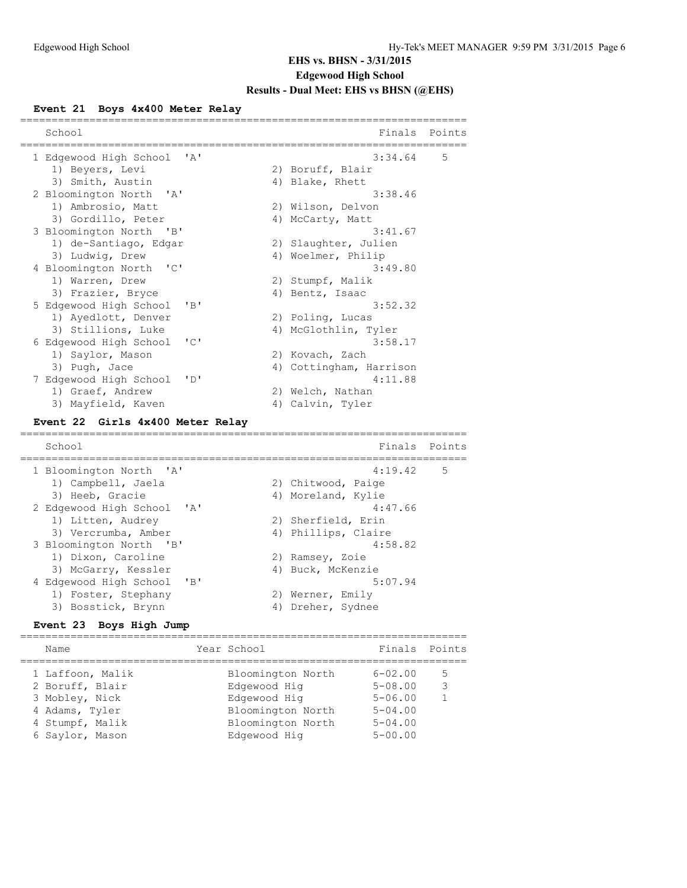# **Event 21 Boys 4x400 Meter Relay**

| School                                     |    | Finals                  | Points |
|--------------------------------------------|----|-------------------------|--------|
| 1 Edgewood High School<br>'A'              |    | 3:34.64                 | 5      |
| 1) Beyers, Levi                            |    | 2) Boruff, Blair        |        |
| 3) Smith, Austin                           |    | 4) Blake, Rhett         |        |
| 2 Bloomington North<br>' A'                |    | 3:38.46                 |        |
| 1) Ambrosio, Matt                          |    | 2) Wilson, Delvon       |        |
| 3) Gordillo, Peter                         |    | 4) McCarty, Matt        |        |
| 3 Bloomington North<br>"B"                 |    | 3:41.67                 |        |
| 1) de-Santiago, Edgar                      | 2) | Slaughter, Julien       |        |
| 3) Ludwig, Drew                            |    | 4) Woelmer, Philip      |        |
| 4 Bloomington North<br>"C"                 |    | 3:49.80                 |        |
| 1) Warren, Drew                            |    | 2) Stumpf, Malik        |        |
| 3) Frazier, Bryce                          |    | 4) Bentz, Isaac         |        |
| 5 Edgewood High School<br>"B"              |    | 3:52.32                 |        |
| 1) Ayedlott, Denver                        |    | 2) Poling, Lucas        |        |
| 3) Stillions, Luke                         |    | 4) McGlothlin, Tyler    |        |
| "C"<br>6 Edgewood High School              |    | 3:58.17                 |        |
| 1) Saylor, Mason                           |    | 2) Kovach, Zach         |        |
| 3) Pugh, Jace                              |    | 4) Cottingham, Harrison |        |
| 7 Edgewood High School<br>$\mathbf{I}$ D   |    | 4:11.88                 |        |
| 1) Graef, Andrew                           |    | 2) Welch, Nathan        |        |
| 3) Mayfield, Kaven                         |    | 4) Calvin, Tyler        |        |
| Girls 4x400 Meter Relay<br><b>Event 22</b> |    |                         |        |
| School                                     |    | Finals                  | Points |
| =========================                  |    |                         |        |
| $\mathsf{A}$<br>1 Bloomington North        |    | 4:19.42                 | 5      |
| 1) Campbell, Jaela                         |    | 2) Chitwood, Paige      |        |
| 3) Heeb, Gracie                            |    | 4) Moreland, Kylie      |        |
| 2 Edgewood High School<br>$\mathsf{A}$     |    | 4:47.66                 |        |
| 1) Litten, Audrey                          |    | 2) Sherfield, Erin      |        |
| 3) Vercrumba, Amber                        |    | 4) Phillips, Claire     |        |
| 3 Bloomington North<br>"B"                 |    | 4:58.82                 |        |
| 1) Dixon, Caroline                         |    | 2) Ramsey, Zoie         |        |
| 3) McGarry, Kessler                        |    | 4) Buck, McKenzie       |        |
| 4 Edgewood High School<br>"B"              |    | 5:07.94                 |        |
| 1) Foster, Stephany                        |    | 2) Werner, Emily        |        |
| 3) Bosstick, Brynn                         |    | 4) Dreher, Sydnee       |        |

### **Event 23 Boys High Jump**

| Name             | Year School       | Finals Points |    |
|------------------|-------------------|---------------|----|
| 1 Laffoon, Malik | Bloomington North | $6 - 02.00$   | .5 |
| 2 Boruff, Blair  | Edgewood Hig      | $5 - 08.00$   | 3  |
| 3 Mobley, Nick   | Edgewood Hig      | $5 - 06.00$   |    |
| 4 Adams, Tyler   | Bloomington North | $5 - 04.00$   |    |
| 4 Stumpf, Malik  | Bloomington North | $5 - 04.00$   |    |
| 6 Saylor, Mason  | Edgewood Hig      | $5 - 00.00$   |    |
|                  |                   |               |    |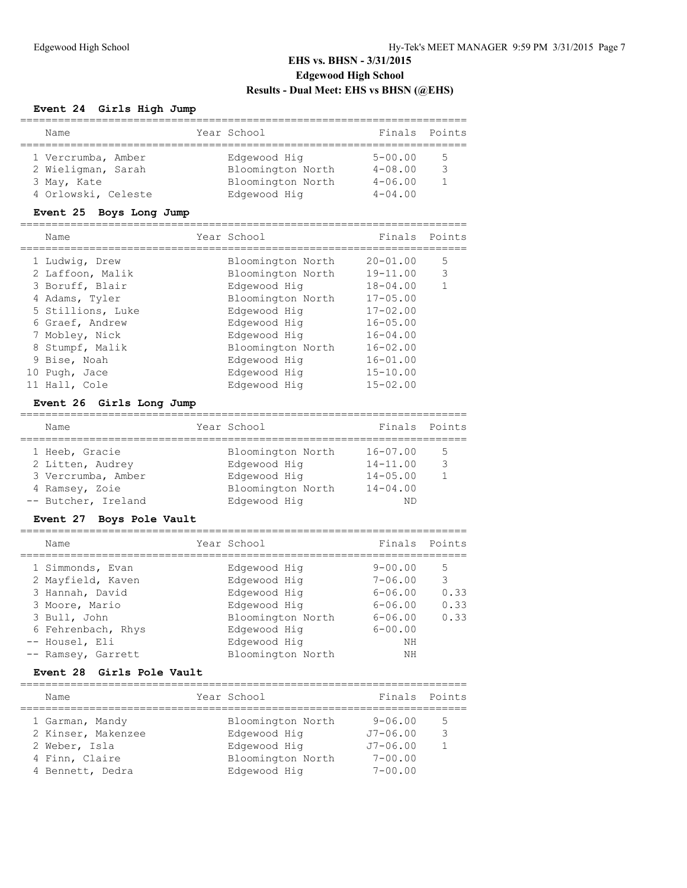# **Event 24 Girls High Jump**

| Name                                                    | Year School                                            | Finals Points                             |    |
|---------------------------------------------------------|--------------------------------------------------------|-------------------------------------------|----|
| 1 Vercrumba, Amber<br>2 Wieligman, Sarah<br>3 May, Kate | Edgewood Hig<br>Bloomington North<br>Bloomington North | $5 - 00.00$<br>$4 - 08.00$<br>$4 - 06.00$ | .5 |
| 4 Orlowski, Celeste                                     | Edgewood Hig                                           | $4 - 04.00$                               |    |

# **Event 25 Boys Long Jump**

| Name              | Year School       | Finals       | Points         |
|-------------------|-------------------|--------------|----------------|
| 1 Ludwig, Drew    | Bloomington North | $20 - 01.00$ | 5              |
| 2 Laffoon, Malik  | Bloomington North | $19 - 11.00$ | 3              |
| 3 Boruff, Blair   | Edgewood Hig      | $18 - 04.00$ | $\overline{1}$ |
| 4 Adams, Tyler    | Bloomington North | $17 - 05.00$ |                |
| 5 Stillions, Luke | Edgewood Hig      | $17 - 02.00$ |                |
| 6 Graef, Andrew   | Edgewood Hig      | $16 - 05.00$ |                |
| 7 Mobley, Nick    | Edgewood Hig      | $16 - 04.00$ |                |
| 8 Stumpf, Malik   | Bloomington North | $16 - 02.00$ |                |
| 9 Bise, Noah      | Edgewood Hig      | $16 - 01.00$ |                |
| 10 Pugh, Jace     | Edgewood Hig      | $15 - 10.00$ |                |
| 11 Hall, Cole     | Edgewood Hig      | $15 - 02.00$ |                |

# **Event 26 Girls Long Jump**

| Name                |  | Year School       | Finals Points |    |
|---------------------|--|-------------------|---------------|----|
| 1 Heeb, Gracie      |  | Bloomington North | $16 - 07.00$  | .5 |
| 2 Litten, Audrey    |  | Edgewood Hig      | $14 - 11.00$  | հ  |
| 3 Vercrumba, Amber  |  | Edgewood Hig      | $14 - 05.00$  |    |
| 4 Ramsey, Zoie      |  | Bloomington North | $14 - 04.00$  |    |
| -- Butcher, Ireland |  | Edgewood Hig      | NГ            |    |

# **Event 27 Boys Pole Vault**

| Name               | Year School       | Finals Points |      |
|--------------------|-------------------|---------------|------|
| 1 Simmonds, Evan   | Edgewood Hig      | $9 - 00.00$   | 5    |
| 2 Mayfield, Kaven  | Edgewood Hig      | $7 - 06.00$   | 3    |
| 3 Hannah, David    | Edgewood Hig      | $6 - 06.00$   | 0.33 |
| 3 Moore, Mario     | Edgewood Hig      | $6 - 06.00$   | 0.33 |
| 3 Bull, John       | Bloomington North | $6 - 06.00$   | 0.33 |
| 6 Fehrenbach, Rhys | Edgewood Hig      | $6 - 00.00$   |      |
| -- Housel, Eli     | Edgewood Hig      | NΗ            |      |
| -- Ramsey, Garrett | Bloomington North | NΗ            |      |
|                    |                   |               |      |

### **Event 28 Girls Pole Vault**

| Name               |                 |                   | Finals Points                    |              |
|--------------------|-----------------|-------------------|----------------------------------|--------------|
|                    |                 |                   |                                  |              |
|                    |                 |                   |                                  | .5           |
| 2 Kinser, Makenzee |                 | Edgewood Hig      | $J7 - 06.00$                     | $\mathbf{z}$ |
| 2 Weber, Isla      |                 | Edgewood Hig      | $J7 - 06.00$                     |              |
| 4 Finn, Claire     |                 | Bloomington North | $7 - 00.00$                      |              |
| 4 Bennett, Dedra   |                 | Edgewood Hig      | $7 - 00.00$                      |              |
|                    | 1 Garman, Mandy |                   | Year School<br>Bloomington North | $9 - 06.00$  |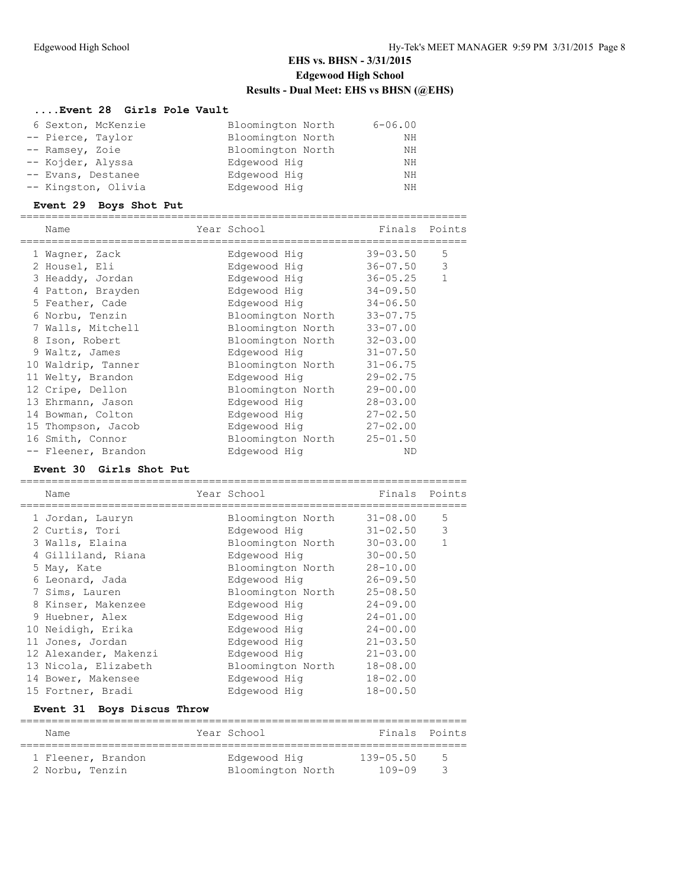# **....Event 28 Girls Pole Vault**

| 6 Sexton, McKenzie  | Bloomington North | $6 - 06.00$ |
|---------------------|-------------------|-------------|
| -- Pierce, Taylor   | Bloomington North | ΝH          |
| -- Ramsey, Zoie     | Bloomington North | ΝH          |
| -- Kojder, Alyssa   | Edgewood Hig      | NΗ          |
| -- Evans, Destanee  | Edgewood Hig      | NΗ          |
| -- Kingston, Olivia | Edgewood Hig      | ΝH          |

#### **Event 29 Boys Shot Put**

| Name                | Year School       | Finals       | Points       |
|---------------------|-------------------|--------------|--------------|
| 1 Waqner, Zack      | Edgewood Hig      | $39 - 03.50$ | 5            |
| 2 Housel, Eli       | Edgewood Hig      | $36 - 07.50$ | 3            |
| 3 Headdy, Jordan    | Edgewood Hig      | $36 - 05.25$ | $\mathbf{1}$ |
| 4 Patton, Brayden   | Edgewood Hig      | $34 - 09.50$ |              |
| 5 Feather, Cade     | Edgewood Hig      | $34 - 06.50$ |              |
| 6 Norbu, Tenzin     | Bloomington North | $33 - 07.75$ |              |
| 7 Walls, Mitchell   | Bloomington North | $33 - 07.00$ |              |
| 8 Ison, Robert      | Bloomington North | $32 - 03.00$ |              |
| 9 Waltz, James      | Edgewood Hig      | $31 - 07.50$ |              |
| 10 Waldrip, Tanner  | Bloomington North | $31 - 06.75$ |              |
| 11 Welty, Brandon   | Edgewood Hig      | $29 - 02.75$ |              |
| 12 Cripe, Dellon    | Bloomington North | $29 - 00.00$ |              |
| 13 Ehrmann, Jason   | Edgewood Hig      | $28 - 03.00$ |              |
| 14 Bowman, Colton   | Edgewood Hig      | $27 - 02.50$ |              |
| 15 Thompson, Jacob  | Edgewood Hig      | $27 - 02.00$ |              |
| 16 Smith, Connor    | Bloomington North | $25 - 01.50$ |              |
| -- Fleener, Brandon | Edgewood Hig      | ND           |              |

# **Event 30 Girls Shot Put**

| Name                  | Year School       | Finals       | Points       |
|-----------------------|-------------------|--------------|--------------|
| 1 Jordan, Lauryn      | Bloomington North | $31 - 08.00$ | 5            |
| 2 Curtis, Tori        | Edgewood Hig      | $31 - 02.50$ | 3            |
| 3 Walls, Elaina       | Bloomington North | $30 - 03.00$ | $\mathbf{1}$ |
| 4 Gilliland, Riana    | Edgewood Hig      | $30 - 00.50$ |              |
| 5 May, Kate           | Bloomington North | $28 - 10.00$ |              |
| 6 Leonard, Jada       | Edgewood Hig      | $26 - 09.50$ |              |
| 7 Sims, Lauren        | Bloomington North | $25 - 08.50$ |              |
| 8 Kinser, Makenzee    | Edgewood Hig      | $24 - 09.00$ |              |
| 9 Huebner, Alex       | Edgewood Hig      | $24 - 01.00$ |              |
| 10 Neidigh, Erika     | Edgewood Hig      | $24 - 00.00$ |              |
| 11 Jones, Jordan      | Edgewood Hig      | $21 - 03.50$ |              |
| 12 Alexander, Makenzi | Edgewood Hig      | $21 - 03.00$ |              |
| 13 Nicola, Elizabeth  | Bloomington North | $18 - 08.00$ |              |
| 14 Bower, Makensee    | Edgewood Hig      | $18 - 02.00$ |              |
| 15 Fortner, Bradi     | Edgewood Hig      | $18 - 00.50$ |              |
|                       |                   |              |              |

### **Event 31 Boys Discus Throw**

| Name               | Year School       | Finals Points |               |
|--------------------|-------------------|---------------|---------------|
|                    |                   |               |               |
| 1 Fleener, Brandon | Edgewood Hig      | $139 - 05.50$ | $\mathcal{L}$ |
| 2 Norbu, Tenzin    | Bloomington North | 109-09        | - 3           |